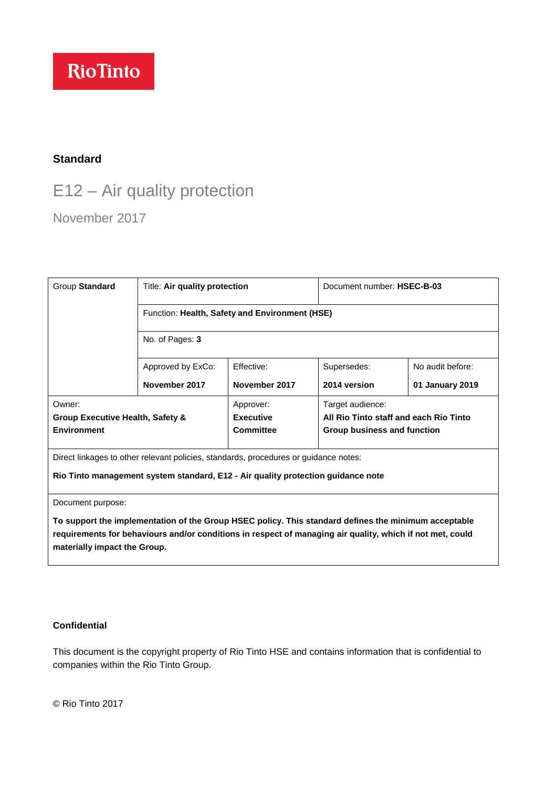# **RioTinto**

# **Standard**

# E12 – Air quality protection

November 2017

| Group Standard                                                                       | Title: Air quality protection                  |                                                   | Document number: HSEC-B-03                                                                |                  |
|--------------------------------------------------------------------------------------|------------------------------------------------|---------------------------------------------------|-------------------------------------------------------------------------------------------|------------------|
|                                                                                      | Function: Health, Safety and Environment (HSE) |                                                   |                                                                                           |                  |
|                                                                                      | No. of Pages: 3                                |                                                   |                                                                                           |                  |
|                                                                                      | Approved by ExCo:                              | Effective:                                        | Supersedes:                                                                               | No audit before: |
|                                                                                      | November 2017                                  | November 2017                                     | 2014 version                                                                              | 01 January 2019  |
| Owner:<br>Group Executive Health, Safety &<br><b>Environment</b>                     |                                                | Approver:<br><b>Executive</b><br><b>Committee</b> | Target audience:<br>All Rio Tinto staff and each Rio Tinto<br>Group business and function |                  |
| Direct linkages to other relevant policies, standards, procedures or guidance notes: |                                                |                                                   |                                                                                           |                  |
| Rio Tinto management system standard, E12 - Air quality protection guidance note     |                                                |                                                   |                                                                                           |                  |

Document purpose:

**To support the implementation of the Group HSEC policy. This standard defines the minimum acceptable requirements for behaviours and/or conditions in respect of managing air quality, which if not met, could materially impact the Group.**

#### **Confidential**

This document is the copyright property of Rio Tinto HSE and contains information that is confidential to companies within the Rio Tinto Group.

© Rio Tinto 2017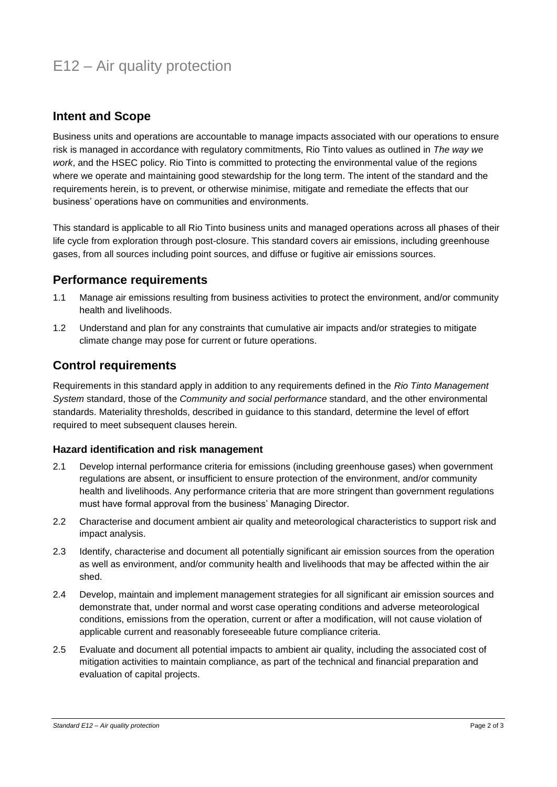# E12 – Air quality protection

## **Intent and Scope**

Business units and operations are accountable to manage impacts associated with our operations to ensure risk is managed in accordance with regulatory commitments, Rio Tinto values as outlined in *The way we work*, and the HSEC policy. Rio Tinto is committed to protecting the environmental value of the regions where we operate and maintaining good stewardship for the long term. The intent of the standard and the requirements herein, is to prevent, or otherwise minimise, mitigate and remediate the effects that our business' operations have on communities and environments.

This standard is applicable to all Rio Tinto business units and managed operations across all phases of their life cycle from exploration through post-closure. This standard covers air emissions, including greenhouse gases, from all sources including point sources, and diffuse or fugitive air emissions sources.

### **Performance requirements**

- 1.1 Manage air emissions resulting from business activities to protect the environment, and/or community health and livelihoods.
- 1.2 Understand and plan for any constraints that cumulative air impacts and/or strategies to mitigate climate change may pose for current or future operations.

### **Control requirements**

Requirements in this standard apply in addition to any requirements defined in the *Rio Tinto Management System* standard, those of the *Community and social performance* standard, and the other environmental standards. Materiality thresholds, described in guidance to this standard, determine the level of effort required to meet subsequent clauses herein.

#### **Hazard identification and risk management**

- 2.1 Develop internal performance criteria for emissions (including greenhouse gases) when government regulations are absent, or insufficient to ensure protection of the environment, and/or community health and livelihoods. Any performance criteria that are more stringent than government regulations must have formal approval from the business' Managing Director.
- 2.2 Characterise and document ambient air quality and meteorological characteristics to support risk and impact analysis.
- 2.3 Identify, characterise and document all potentially significant air emission sources from the operation as well as environment, and/or community health and livelihoods that may be affected within the air shed.
- 2.4 Develop, maintain and implement management strategies for all significant air emission sources and demonstrate that, under normal and worst case operating conditions and adverse meteorological conditions, emissions from the operation, current or after a modification, will not cause violation of applicable current and reasonably foreseeable future compliance criteria.
- 2.5 Evaluate and document all potential impacts to ambient air quality, including the associated cost of mitigation activities to maintain compliance, as part of the technical and financial preparation and evaluation of capital projects.